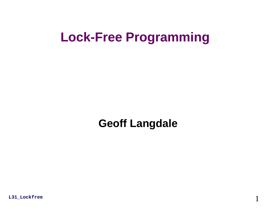### **Lock-Free Programming**

### **Geoff Langdale**

1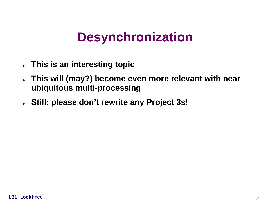### **Desynchronization**

- **This is an interesting topic**
- ● **This will (may?) become even more relevant with near ubiquitous multi-processing**
- **Still: please don't rewrite any Project 3s!**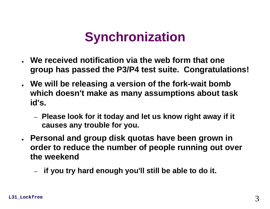### **Synchronization**

- **We received notification via the web form that one group has passed the P3/P4 test suite. Congratulations!**
- **We will be releasing a version of the fork-wait bomb which doesn't make as many assumptions about task id's.**
	- – **Please look for it today and let us know right away if it causes any trouble for you.**
- **Personal and group disk quotas have been grown in order to reduce the number of people running out over the weekend**
	- –**if you try hard enough you'll still be able to do it.**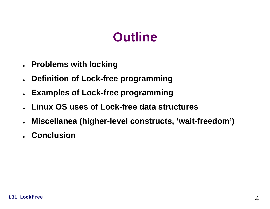### **Outline**

- **Problems with locking**
- **Definition of Lock-free programming**
- $\bullet$ **Examples of Lock-free programming**
- ●**Linux OS uses of Lock-free data structures**
- ●**Miscellanea (higher-level constructs, 'wait-freedom')**
- **Conclusion**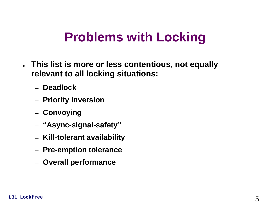- **This list is more or less contentious, not equally relevant to all locking situations:**
	- **Deadlock**
	- **Priority Inversion**
	- **Convoying**
	- **"Async-signal-safety"**
	- **Kill-tolerant availability**
	- **Pre-emption tolerance**
	- **Overall performance**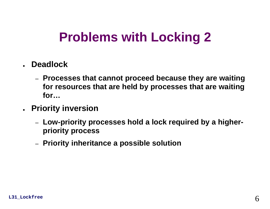- **Deadlock**
	- **Processes that cannot proceed because they are waiting for resources that are held by processes that are waiting for…**
- **Priority inversion**
	- **Low-priority processes hold a lock required by a higherpriority process**
	- **Priority inheritance a possible solution**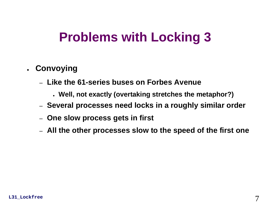- **Convoying**
	- **Like the 61-series buses on Forbes Avenue**
		- **Well, not exactly (overtaking stretches the metaphor?)**
	- **Several processes need locks in a roughly similar order**
	- **One slow process gets in first**
	- **All the other processes slow to the speed of the first one**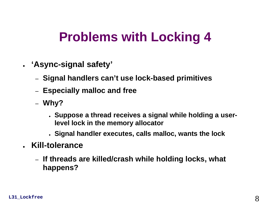- **'Async-signal safety'**
	- **Signal handlers can't use lock-based primitives**
	- **Especially malloc and free**
	- **Why?**
		- **Suppose a thread receives a signal while holding a userlevel lock in the memory allocator**
		- **Signal handler executes, calls malloc, wants the lock**
- ● **Kill-tolerance**
	- **If threads are killed/crash while holding locks, what happens?**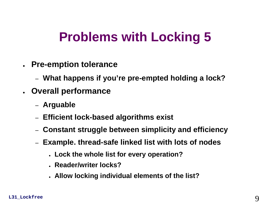- **Pre-emption tolerance**
	- **What happens if you're pre-empted holding a lock?**
- **Overall performance**
	- **Arguable**
	- **Efficient lock-based algorithms exist**
	- –**Constant struggle between simplicity and efficiency**
	- **Example. thread-safe linked list with lots of nodes**
		- **Lock the whole list for every operation?**
		- **Reader/writer locks?**
		- **Allow locking individual elements of the list?**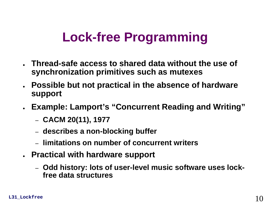### **Lock-free Programming**

- **Thread-safe access to shared data without the use of synchronization primitives such as mutexes**
- ● **Possible but not practical in the absence of hardware support**
- **Example: Lamport's "Concurrent Reading and Writing"**
	- **CACM 20(11), 1977**
	- **describes a non-blocking buffer**
	- **limitations on number of concurrent writers**
- **Practical with hardware support**
	- **Odd history: lots of user-level music software uses lockfree data structures**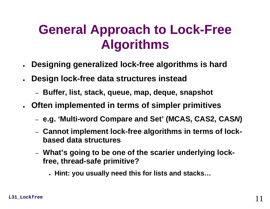### **General Approach to Lock-Free Algorithms**

- ●**Designing generalized lock-free algorithms is hard**
- **Design lock-free data structures instead**
	- **Buffer, list, stack, queue, map, deque, snapshot**
- ● **Often implemented in terms of simpler primitives**
	- **e.g. 'Multi-word Compare and Set' (MCAS, CAS2, CAS***N***)**
	- **Cannot implement lock-free algorithms in terms of lockbased data structures**
	- **What's going to be one of the scarier underlying lockfree, thread-safe primitive?**
		- **Hint: you usually need this for lists and stacks…**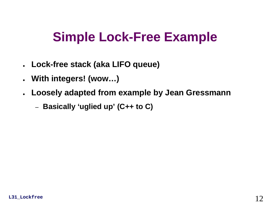### **Simple Lock-Free Example**

- **Lock-free stack (aka LIFO queue)**
- ●**With integers! (wow…)**
- **Loosely adapted from example by Jean Gressmann**
	- **Basically 'uglied up' (C++ to C)**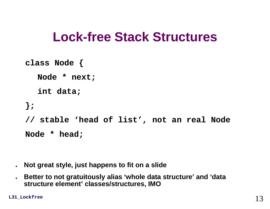### **Lock-free Stack Structures**

```
class Node {
  Node * next;
  int data;
}; 
// stable 'head of list', not an real Node 
Node * head;
```
- $\bullet$ **Not great style, just happens to fit on a slide**
- $\bullet$  **Better to not gratuitously alias 'whole data structure' and 'data structure element' classes/structures, IMO**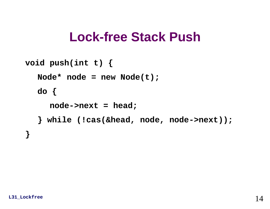### **Lock-free Stack Push**

```
void push(int t) {
  Node* node = new Node(t);
  do {
     node->next = head;
  } while (!cas(&head, node, node->next));
}
```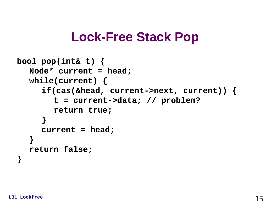### **Lock-Free Stack Pop**

```
bool pop(int& t) {
  Node* current = head;
  while(current) {
     if(cas(&head, current->next, current)) {
        t = current->data; // problem? 
       return true;
     }
     current = head;
  }
  return false;
}
```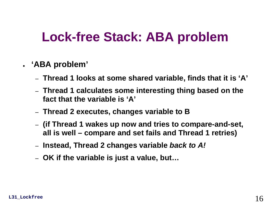# **Lock-free Stack: ABA problem**

#### ● **'ABA problem'**

- **Thread 1 looks at some shared variable, finds that it is 'A'**
- **Thread 1 calculates some interesting thing based on the fact that the variable is 'A'**
- **Thread 2 executes, changes variable to B**
- **(if Thread 1 wakes up now and tries to compare-and-set, all is well – compare and set fails and Thread 1 retries)**
- –**Instead, Thread 2 changes variable** *back to A!*
- **OK if the variable is just a value, but…**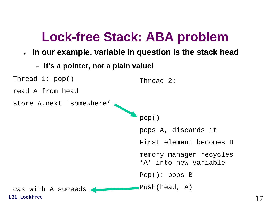# **Lock-free Stack: ABA problem**

- **In our example, variable in question is the stack head**
	- –**It's a pointer, not a plain value!**

```
Thread 1: pop()
read A from headstore A.next `somewhere'
                                Thread 2:
```

```
pop()
pops A, discards it
First element becomes Bmemory manager recycles 
'A' into new variablePop(): pops B
Push(head, A)
```
**L31\_Lockfree**

cas with A suceeds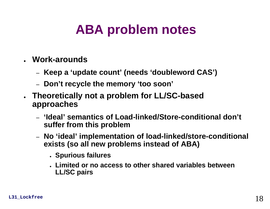# **ABA problem notes**

- **Work-arounds**
	- –**Keep a 'update count' (needs 'doubleword CAS')**
	- –**Don't recycle the memory 'too soon'**
- **Theoretically not a problem for LL/SC-based approaches**
	- **'Ideal' semantics of Load-linked/Store-conditional don't suffer from this problem**
	- – **No 'ideal' implementation of load-linked/store-conditional exists (so all new problems instead of ABA)**
		- **Spurious failures**
		- **Limited or no access to other shared variables between LL/SC pairs**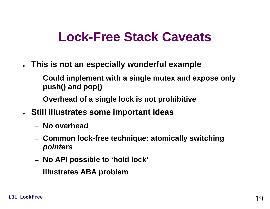### **Lock-Free Stack Caveats**

- **This is not an especially wonderful example**
	- **Could implement with a single mutex and expose only push() and pop()**
	- **Overhead of a single lock is not prohibitive**
- **Still illustrates some important ideas**
	- **No overhead**
	- **Common lock-free technique: atomically switching**  *pointers*
	- **No API possible to 'hold lock'**
	- **Illustrates ABA problem**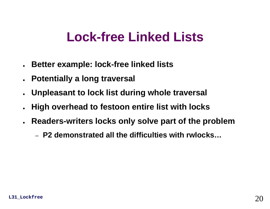### **Lock-free Linked Lists**

- $\bullet$ **Better example: lock-free linked lists**
- ●**Potentially a long traversal**
- ●**Unpleasant to lock list during whole traversal**
- $\bullet$ **High overhead to festoon entire list with locks**
- ● **Readers-writers locks only solve part of the problem**
	- **P2 demonstrated all the difficulties with rwlocks…**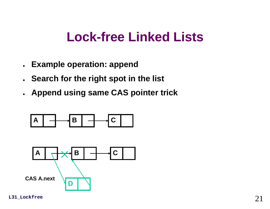### **Lock-free Linked Lists**

- **Example operation: append**
- **Search for the right spot in the list**
- **Append using same CAS pointer trick**

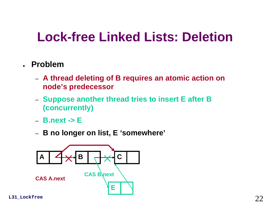### **Lock-free Linked Lists: Deletion**

#### ● **Problem**

- **A thread deleting of B requires an atomic action on node's predecessor**
- **Suppose another thread tries to insert E after B (concurrently)**
- **B.next -> E**
- **B no longer on list, E 'somewhere'**

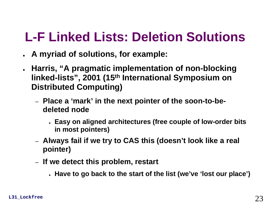# **L-F Linked Lists: Deletion Solutions**

- **A myriad of solutions, for example:**
- ● **Harris, "A pragmatic implementation of non-blocking linked-lists", 2001 (15th International Symposium on Distributed Computing)**
	- **Place a 'mark' in the next pointer of the soon-to-bedeleted node**
		- **Easy on aligned architectures (free couple of low-order bits in most pointers)**
	- **Always fail if we try to CAS this (doesn't look like a real pointer)**
	- **If we detect this problem, restart**
		- **Have to go back to the start of the list (we've 'lost our place')**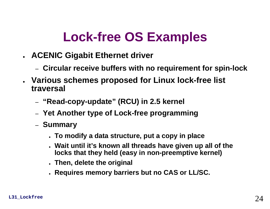# **Lock-free OS Examples**

- **ACENIC Gigabit Ethernet driver**
	- **Circular receive buffers with no requirement for spin-lock**
- **Various schemes proposed for Linux lock-free list traversal**
	- **"Read-copy-update" (RCU) in 2.5 kernel**
	- **Yet Another type of Lock-free programming**
	- **Summary**
		- **To modify a data structure, put a copy in place**
		- **Wait until it's known all threads have given up all of the locks that they held (easy in non-preemptive kernel)**
		- **Then, delete the original**
		- **Requires memory barriers but no CAS or LL/SC.**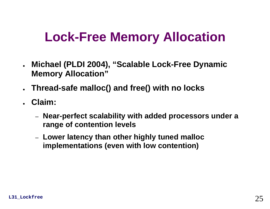# **Lock-Free Memory Allocation**

- ● **Michael (PLDI 2004), "Scalable Lock-Free Dynamic Memory Allocation"**
- ●**Thread-safe malloc() and free() with no locks**
- **Claim:**
	- **Near-perfect scalability with added processors under a range of contention levels**
	- **Lower latency than other highly tuned malloc implementations (even with low contention)**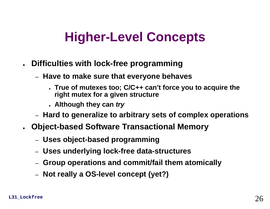# **Higher-Level Concepts**

- $\bullet$  **Difficulties with lock-free programming**
	- **Have to make sure that everyone behaves**
		- **True of mutexes too; C/C++ can't force you to acquire the right mutex for a given structure**
		- **Although they can** *try*
	- **Hard to generalize to arbitrary sets of complex operations**
- ● **Object-based Software Transactional Memory**
	- **Uses object-based programming**
	- **Uses underlying lock-free data-structures**
	- **Group operations and commit/fail them atomically**
	- **Not really a OS-level concept (yet?)**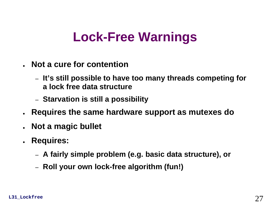# **Lock-Free Warnings**

- **Not a cure for contention**
	- **It's still possible to have too many threads competing for a lock free data structure**
	- **Starvation is still a possibility**
- $\bullet$ **Requires the same hardware support as mutexes do**
- ●**Not a magic bullet**
- **Requires:** 
	- **A fairly simple problem (e.g. basic data structure), or**
	- **Roll your own lock-free algorithm (fun!)**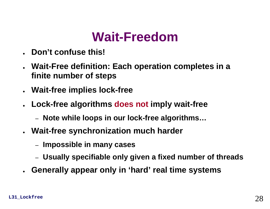### **Wait-Freedom**

- ●**Don't confuse this!**
- $\bullet$  **Wait-Free definition: Each operation completes in a finite number of steps**
- $\bullet$ **Wait-free implies lock-free**
- **Lock-free algorithms does not imply wait-free**
	- **Note while loops in our lock-free algorithms…**
- **Wait-free synchronization much harder**
	- **Impossible in many cases**
	- **Usually specifiable only given a fixed number of threads**
- **Generally appear only in 'hard' real time systems**